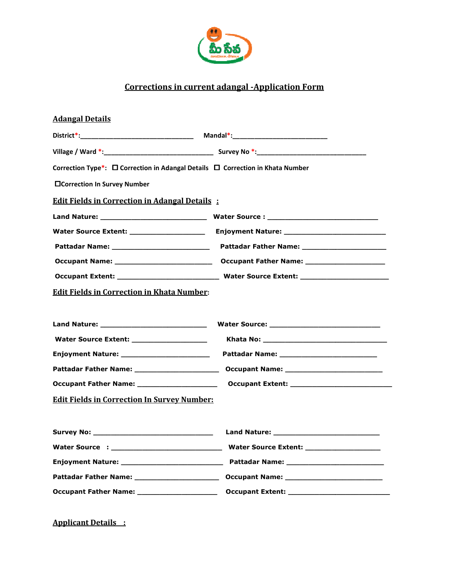

## Corrections in current adangal -Application Form

| <b>Adangal Details</b>                                                         |  |
|--------------------------------------------------------------------------------|--|
|                                                                                |  |
|                                                                                |  |
| Correction Type*: □ Correction in Adangal Details □ Correction in Khata Number |  |
| □Correction In Survey Number                                                   |  |
| <b>Edit Fields in Correction in Adangal Details:</b>                           |  |
|                                                                                |  |
|                                                                                |  |
|                                                                                |  |
|                                                                                |  |
|                                                                                |  |
| <b>Edit Fields in Correction in Khata Number:</b>                              |  |
|                                                                                |  |
|                                                                                |  |
| Water Source Extent: ___________________                                       |  |
|                                                                                |  |
|                                                                                |  |
|                                                                                |  |
| <b>Edit Fields in Correction In Survey Number:</b>                             |  |
|                                                                                |  |
|                                                                                |  |
|                                                                                |  |
|                                                                                |  |
|                                                                                |  |
| Occupant Father Name: _____________________                                    |  |

Applicant Details :